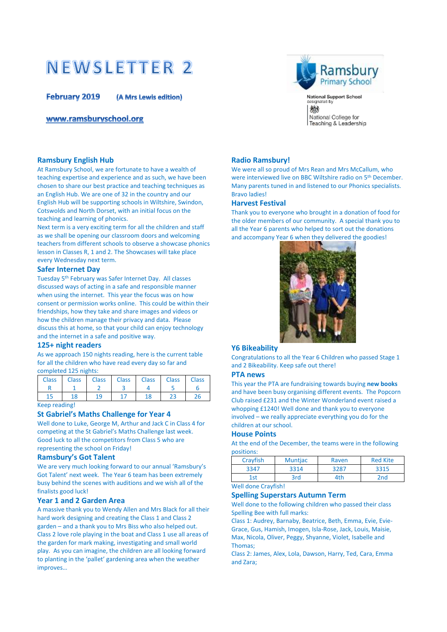# **NEWSLETTER 2**

**February 2019** (A Mrs Lewis edition)

www.ramsburyschool.org



National Support School<br>designated by 総 National College for Teaching & Leadership

## **Ramsbury English Hub**

At Ramsbury School, we are fortunate to have a wealth of teaching expertise and experience and as such, we have been chosen to share our best practice and teaching techniques as an English Hub. We are one of 32 in the country and our English Hub will be supporting schools in Wiltshire, Swindon, Cotswolds and North Dorset, with an initial focus on the teaching and learning of phonics.

Next term is a very exciting term for all the children and staff as we shall be opening our classroom doors and welcoming teachers from different schools to observe a showcase phonics lesson in Classes R, 1 and 2. The Showcases will take place every Wednesday next term.

#### **Safer Internet Day**

Tuesday 5th February was Safer Internet Day. All classes discussed ways of acting in a safe and responsible manner when using the internet. This year the focus was on how consent or permission works online. This could be within their friendships, how they take and share images and videos or how the children manage their privacy and data. Please discuss this at home, so that your child can enjoy technology and the internet in a safe and positive way.

#### **125+ night readers**

As we approach 150 nights reading, here is the current table for all the children who have read every day so far and completed 125 nights:

| <b>Class</b> | Class Class Class Class Class Class Class |  |  |
|--------------|-------------------------------------------|--|--|
|              |                                           |  |  |
|              |                                           |  |  |

Keep reading!

#### **St Gabriel's Maths Challenge for Year 4**

Well done to Luke, George M, Arthur and Jack C in Class 4 for competing at the St Gabriel's Maths Challenge last week. Good luck to all the competitors from Class 5 who are representing the school on Friday!

#### **Ramsbury's Got Talent**

We are very much looking forward to our annual 'Ramsbury's Got Talent' next week. The Year 6 team has been extremely busy behind the scenes with auditions and we wish all of the finalists good luck!

#### **Year 1 and 2 Garden Area**

A massive thank you to Wendy Allen and Mrs Black for all their hard work designing and creating the Class 1 and Class 2 garden – and a thank you to Mrs Biss who also helped out. Class 2 love role playing in the boat and Class 1 use all areas of the garden for mark making, investigating and small world play. As you can imagine, the children are all looking forward to planting in the 'pallet' gardening area when the weather improves…

## **Radio Ramsbury!**

We were all so proud of Mrs Rean and Mrs McCallum, who were interviewed live on BBC Wiltshire radio on 5th December. Many parents tuned in and listened to our Phonics specialists. Bravo ladies!

#### **Harvest Festival**

Thank you to everyone who brought in a donation of food for the older members of our community. A special thank you to all the Year 6 parents who helped to sort out the donations and accompany Year 6 when they delivered the goodies!



#### **Y6 Bikeability**

Congratulations to all the Year 6 Children who passed Stage 1 and 2 Bikeability. Keep safe out there!

#### **PTA news**

This year the PTA are fundraising towards buying **new books** and have been busy organising different events. The Popcorn Club raised £231 and the Winter Wonderland event raised a whopping £1240! Well done and thank you to everyone involved – we really appreciate everything you do for the children at our school.

# **House Points**

At the end of the December, the teams were in the following positions:

| Crayfish | <b>Muntjac</b> | Raven | <b>Red Kite</b> |
|----------|----------------|-------|-----------------|
| 3347     | 3314           | 3287  | 3315            |
| İst      | 3rd            | 1th   | 2 <sub>nd</sub> |

# Well done Crayfish!

#### **Spelling Superstars Autumn Term**

Well done to the following children who passed their class Spelling Bee with full marks:

Class 1: Audrey, Barnaby, Beatrice, Beth, Emma, Evie, Evie-Grace, Gus, Hamish, Imogen, Isla-Rose, Jack, Louis, Maisie, Max, Nicola, Oliver, Peggy, Shyanne, Violet, Isabelle and Thomas;

Class 2: James, Alex, Lola, Dawson, Harry, Ted, Cara, Emma and Zara;